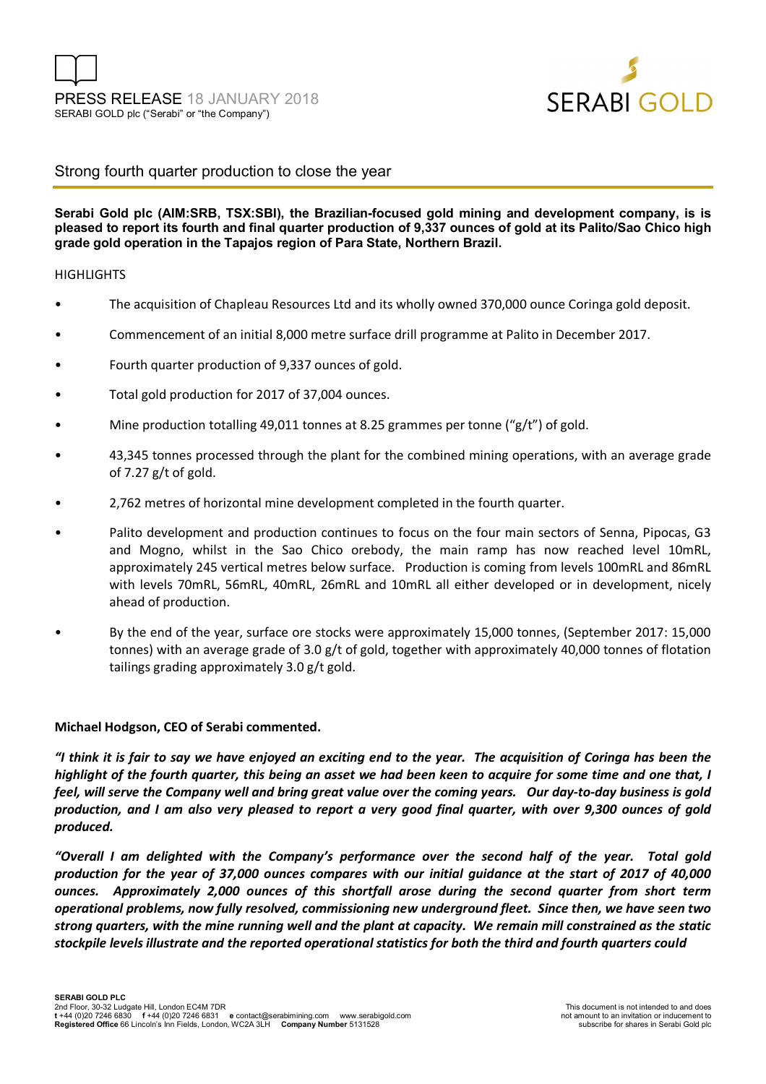

## Strong fourth quarter production to close the year

## **Serabi Gold plc (AIM:SRB, TSX:SBI), the Brazilian-focused gold mining and development company, is is pleased to report its fourth and final quarter production of 9,337 ounces of gold at its Palito/Sao Chico high grade gold operation in the Tapajos region of Para State, Northern Brazil.**

## **HIGHLIGHTS**

- The acquisition of Chapleau Resources Ltd and its wholly owned 370,000 ounce Coringa gold deposit.
- Commencement of an initial 8,000 metre surface drill programme at Palito in December 2017.
- Fourth quarter production of 9,337 ounces of gold.
- Total gold production for 2017 of 37,004 ounces.
- Mine production totalling 49,011 tonnes at 8.25 grammes per tonne ("g/t") of gold.
- 43,345 tonnes processed through the plant for the combined mining operations, with an average grade of 7.27 g/t of gold.
- 2,762 metres of horizontal mine development completed in the fourth quarter.
- Palito development and production continues to focus on the four main sectors of Senna, Pipocas, G3 and Mogno, whilst in the Sao Chico orebody, the main ramp has now reached level 10mRL, approximately 245 vertical metres below surface. Production is coming from levels 100mRL and 86mRL with levels 70mRL, 56mRL, 40mRL, 26mRL and 10mRL all either developed or in development, nicely ahead of production.
- By the end of the year, surface ore stocks were approximately 15,000 tonnes, (September 2017: 15,000 tonnes) with an average grade of 3.0 g/t of gold, together with approximately 40,000 tonnes of flotation tailings grading approximately 3.0 g/t gold.

## **Michael Hodgson, CEO of Serabi commented.**

*"I think it is fair to say we have enjoyed an exciting end to the year. The acquisition of Coringa has been the highlight of the fourth quarter, this being an asset we had been keen to acquire for some time and one that, I feel, will serve the Company well and bring great value over the coming years. Our day-to-day business is gold production, and I am also very pleased to report a very good final quarter, with over 9,300 ounces of gold produced.* 

*"Overall I am delighted with the Company's performance over the second half of the year. Total gold production for the year of 37,000 ounces compares with our initial guidance at the start of 2017 of 40,000 ounces. Approximately 2,000 ounces of this shortfall arose during the second quarter from short term operational problems, now fully resolved, commissioning new underground fleet. Since then, we have seen two strong quarters, with the mine running well and the plant at capacity. We remain mill constrained as the static stockpile levels illustrate and the reported operational statistics for both the third and fourth quarters could*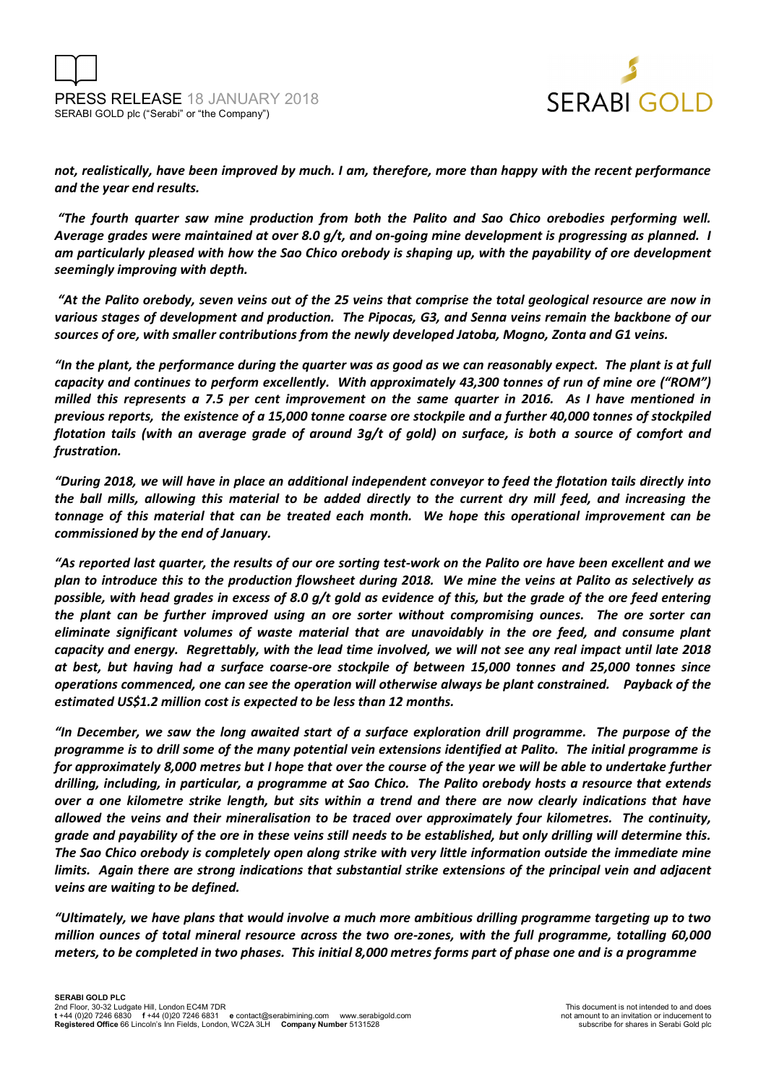

*not, realistically, have been improved by much. I am, therefore, more than happy with the recent performance and the year end results.* 

 *"The fourth quarter saw mine production from both the Palito and Sao Chico orebodies performing well. Average grades were maintained at over 8.0 g/t, and on-going mine development is progressing as planned. I am particularly pleased with how the Sao Chico orebody is shaping up, with the payability of ore development seemingly improving with depth.* 

 *"At the Palito orebody, seven veins out of the 25 veins that comprise the total geological resource are now in various stages of development and production. The Pipocas, G3, and Senna veins remain the backbone of our sources of ore, with smaller contributions from the newly developed Jatoba, Mogno, Zonta and G1 veins.* 

*"In the plant, the performance during the quarter was as good as we can reasonably expect. The plant is at full capacity and continues to perform excellently. With approximately 43,300 tonnes of run of mine ore ("ROM") milled this represents a 7.5 per cent improvement on the same quarter in 2016. As I have mentioned in previous reports, the existence of a 15,000 tonne coarse ore stockpile and a further 40,000 tonnes of stockpiled flotation tails (with an average grade of around 3g/t of gold) on surface, is both a source of comfort and frustration.* 

*"During 2018, we will have in place an additional independent conveyor to feed the flotation tails directly into the ball mills, allowing this material to be added directly to the current dry mill feed, and increasing the tonnage of this material that can be treated each month. We hope this operational improvement can be commissioned by the end of January.* 

*"As reported last quarter, the results of our ore sorting test-work on the Palito ore have been excellent and we plan to introduce this to the production flowsheet during 2018. We mine the veins at Palito as selectively as possible, with head grades in excess of 8.0 g/t gold as evidence of this, but the grade of the ore feed entering the plant can be further improved using an ore sorter without compromising ounces. The ore sorter can eliminate significant volumes of waste material that are unavoidably in the ore feed, and consume plant capacity and energy. Regrettably, with the lead time involved, we will not see any real impact until late 2018 at best, but having had a surface coarse-ore stockpile of between 15,000 tonnes and 25,000 tonnes since operations commenced, one can see the operation will otherwise always be plant constrained. Payback of the estimated US\$1.2 million cost is expected to be less than 12 months.* 

*"In December, we saw the long awaited start of a surface exploration drill programme. The purpose of the programme is to drill some of the many potential vein extensions identified at Palito. The initial programme is for approximately 8,000 metres but I hope that over the course of the year we will be able to undertake further drilling, including, in particular, a programme at Sao Chico. The Palito orebody hosts a resource that extends over a one kilometre strike length, but sits within a trend and there are now clearly indications that have allowed the veins and their mineralisation to be traced over approximately four kilometres. The continuity, grade and payability of the ore in these veins still needs to be established, but only drilling will determine this. The Sao Chico orebody is completely open along strike with very little information outside the immediate mine limits. Again there are strong indications that substantial strike extensions of the principal vein and adjacent veins are waiting to be defined.* 

*"Ultimately, we have plans that would involve a much more ambitious drilling programme targeting up to two million ounces of total mineral resource across the two ore-zones, with the full programme, totalling 60,000 meters, to be completed in two phases. This initial 8,000 metres forms part of phase one and is a programme*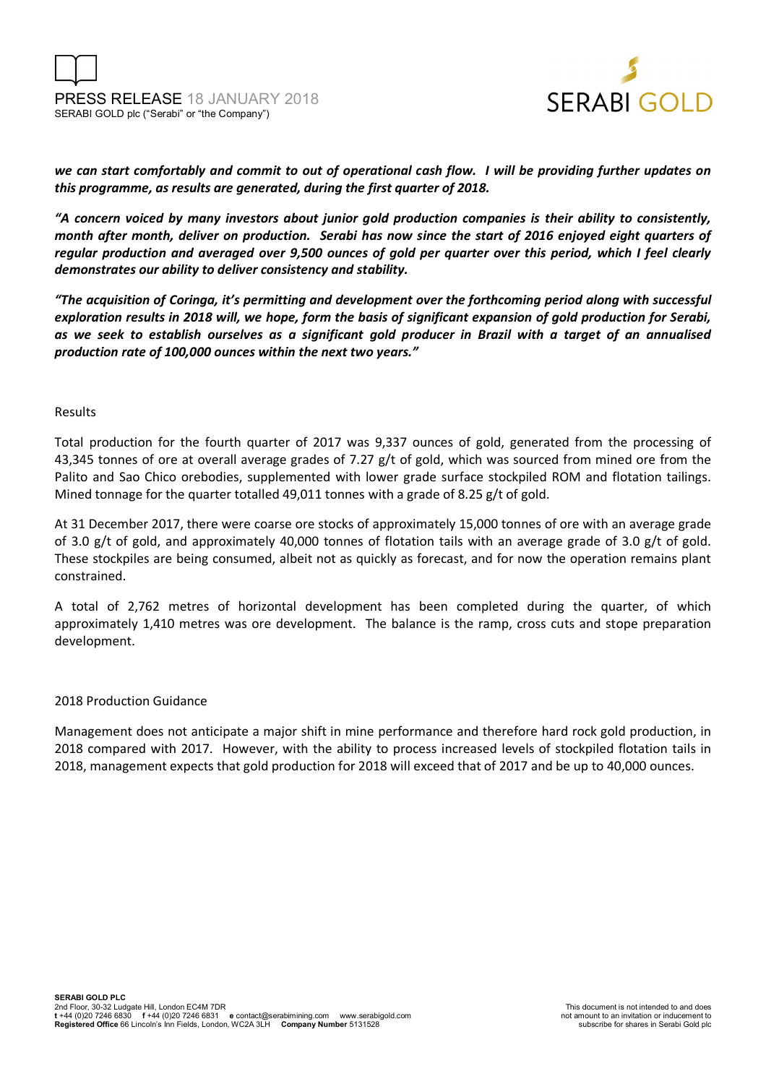



*we can start comfortably and commit to out of operational cash flow. I will be providing further updates on this programme, as results are generated, during the first quarter of 2018.* 

*"A concern voiced by many investors about junior gold production companies is their ability to consistently, month after month, deliver on production. Serabi has now since the start of 2016 enjoyed eight quarters of regular production and averaged over 9,500 ounces of gold per quarter over this period, which I feel clearly demonstrates our ability to deliver consistency and stability.* 

*"The acquisition of Coringa, it's permitting and development over the forthcoming period along with successful exploration results in 2018 will, we hope, form the basis of significant expansion of gold production for Serabi, as we seek to establish ourselves as a significant gold producer in Brazil with a target of an annualised production rate of 100,000 ounces within the next two years."* 

## Results

Total production for the fourth quarter of 2017 was 9,337 ounces of gold, generated from the processing of 43,345 tonnes of ore at overall average grades of 7.27  $g/t$  of gold, which was sourced from mined ore from the Palito and Sao Chico orebodies, supplemented with lower grade surface stockpiled ROM and flotation tailings. Mined tonnage for the quarter totalled 49,011 tonnes with a grade of 8.25 g/t of gold.

At 31 December 2017, there were coarse ore stocks of approximately 15,000 tonnes of ore with an average grade of 3.0 g/t of gold, and approximately 40,000 tonnes of flotation tails with an average grade of 3.0 g/t of gold. These stockpiles are being consumed, albeit not as quickly as forecast, and for now the operation remains plant constrained.

A total of 2,762 metres of horizontal development has been completed during the quarter, of which approximately 1,410 metres was ore development. The balance is the ramp, cross cuts and stope preparation development.

## 2018 Production Guidance

Management does not anticipate a major shift in mine performance and therefore hard rock gold production, in 2018 compared with 2017. However, with the ability to process increased levels of stockpiled flotation tails in 2018, management expects that gold production for 2018 will exceed that of 2017 and be up to 40,000 ounces.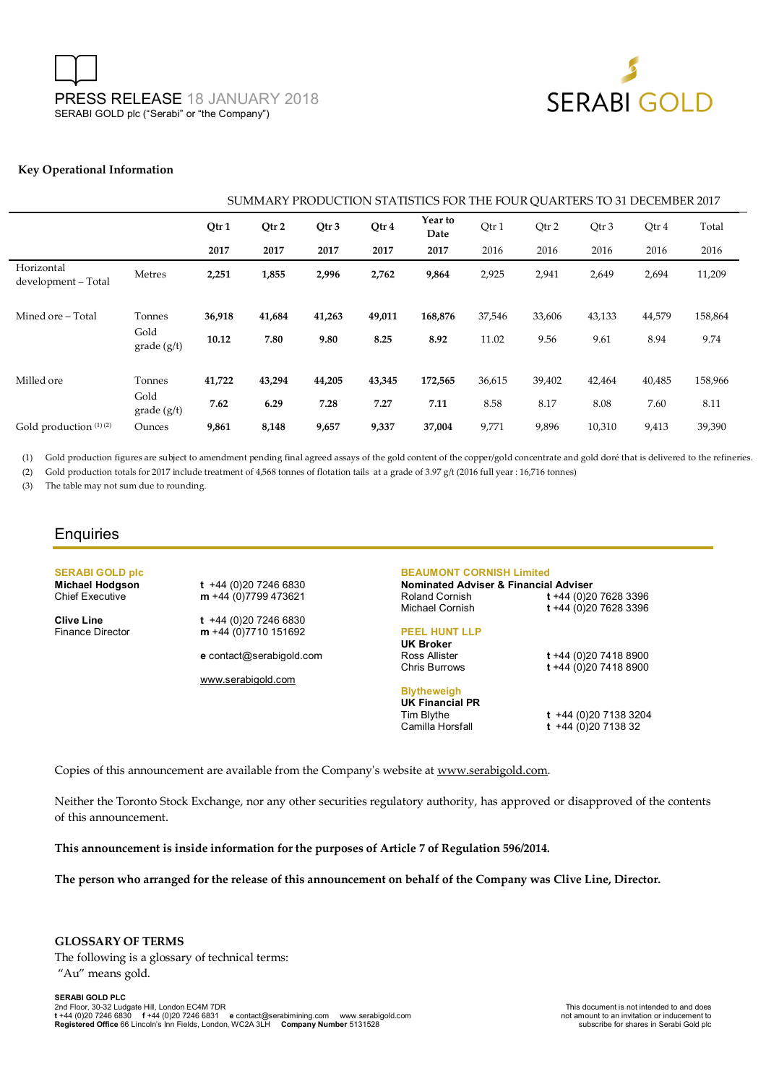PRESS RELEASE 18 JANUARY 2018 SERABI GOLD plc ("Serabi" or "the Company")



#### **Key Operational Information**

| SUMMARY PRODUCTION STATISTICS FOR THE FOUR OUARTERS TO 31 DECEMBER 2017 |                     |        |                  |                  |        |                 |        |        |        |        |         |
|-------------------------------------------------------------------------|---------------------|--------|------------------|------------------|--------|-----------------|--------|--------|--------|--------|---------|
|                                                                         |                     | Qtr 1  | Otr <sub>2</sub> | Qtr <sub>3</sub> | Qtr 4  | Year to<br>Date | Qtr 1  | Qtr 2  | Qtr 3  | Qtr 4  | Total   |
|                                                                         |                     | 2017   | 2017             | 2017             | 2017   | 2017            | 2016   | 2016   | 2016   | 2016   | 2016    |
| Horizontal<br>development - Total                                       | Metres              | 2,251  | 1,855            | 2,996            | 2,762  | 9,864           | 2,925  | 2,941  | 2,649  | 2,694  | 11,209  |
| Mined ore – Total                                                       | Tonnes<br>Gold      | 36,918 | 41,684           | 41,263           | 49,011 | 168,876         | 37,546 | 33,606 | 43,133 | 44,579 | 158,864 |
|                                                                         | grade (g/t)         | 10.12  | 7.80             | 9.80             | 8.25   | 8.92            | 11.02  | 9.56   | 9.61   | 8.94   | 9.74    |
| Milled ore                                                              | Tonnes              | 41,722 | 43,294           | 44,205           | 43,345 | 172,565         | 36,615 | 39,402 | 42,464 | 40,485 | 158,966 |
|                                                                         | Gold<br>grade (g/t) | 7.62   | 6.29             | 7.28             | 7.27   | 7.11            | 8.58   | 8.17   | 8.08   | 7.60   | 8.11    |
| Gold production (1)(2)                                                  | Ounces              | 9,861  | 8,148            | 9,657            | 9,337  | 37,004          | 9,771  | 9,896  | 10,310 | 9,413  | 39,390  |

(1) Gold production figures are subject to amendment pending final agreed assays of the gold content of the copper/gold concentrate and gold doré that is delivered to the refineries.

(2) Gold production totals for 2017 include treatment of 4,568 tonnes of flotation tails at a grade of 3.97 g/t (2016 full year : 16,716 tonnes)

(3) The table may not sum due to rounding.

## **Enquiries**

# **SERABI GOLD plc**

**Michael Hodgson t** +44 (0)20 7246 6830<br>Chief Executive **m** +44 (0)7799 473621 m +44 (0)7799 473621

**Clive Line** t +44 (0)20 7246 6830<br>Finance Director **m** +44 (0)7710 151692 m +44 (0)7710 151692

**e** contact@serabigold.com

www.serabigold.com

#### **BEAUMONT CORNISH Limited**

**Nominated Adviser & Financial Adviser**  Roland Cornish **t** +44 (0)20 7628 3396 Michael Cornish **t** +44 (0)20 7628 3396

## **PEEL HUNT LLP**

**UK Broker** Ross Allister **t** +44 (0)20 7418 8900

**Blytheweigh** 

**UK Financial PR** 

Tim Blythe **t** +44 (0)20 7138 3204  $t +44 (0)20 7138 32$ 

Chris Burrows **t** +44 (0)20 7418 8900

Copies of this announcement are available from the Company's website at www.serabigold.com.

Neither the Toronto Stock Exchange, nor any other securities regulatory authority, has approved or disapproved of the contents of this announcement.

**This announcement is inside information for the purposes of Article 7 of Regulation 596/2014.** 

**The person who arranged for the release of this announcement on behalf of the Company was Clive Line, Director.** 

**GLOSSARY OF TERMS**  The following is a glossary of technical terms: "Au" means gold.